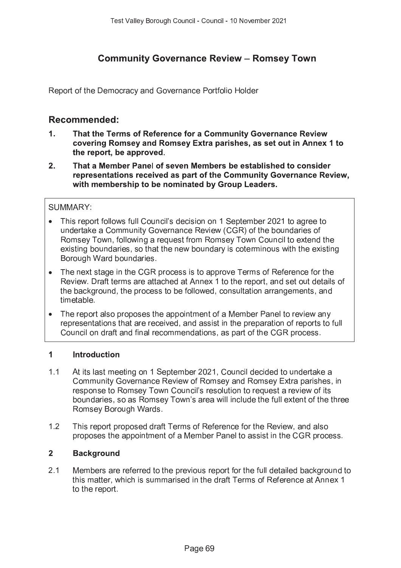# **Community Governance Review - Romsey Town**

Report of the Democracy and Governance Portfolio Holder

## Recommended:

- $1<sub>1</sub>$ That the Terms of Reference for a Community Governance Review covering Romsey and Romsey Extra parishes, as set out in Annex 1 to the report, be approved.
- $2.$ That a Member Panel of seven Members be established to consider representations received as part of the Community Governance Review. with membership to be nominated by Group Leaders.

### **SUMMARY:**

- This report follows full Council's decision on 1 September 2021 to agree to undertake a Community Governance Review (CGR) of the boundaries of Romsey Town, following a request from Romsey Town Council to extend the existing boundaries, so that the new boundary is coterminous with the existing Borough Ward boundaries.
- The next stage in the CGR process is to approve Terms of Reference for the Review. Draft terms are attached at Annex 1 to the report, and set out details of the background, the process to be followed, consultation arrangements, and timetable
- The report also proposes the appointment of a Member Panel to review any representations that are received, and assist in the preparation of reports to full Council on draft and final recommendations, as part of the CGR process.

### $\mathbf{1}$ **Introduction**

- $1.1$ At its last meeting on 1 September 2021, Council decided to undertake a Community Governance Review of Romsey and Romsey Extra parishes, in response to Romsey Town Council's resolution to request a review of its boundaries, so as Romsey Town's area will include the full extent of the three Romsey Borough Wards.
- $12$ This report proposed draft Terms of Reference for the Review, and also proposes the appointment of a Member Panel to assist in the CGR process.

### $2<sup>1</sup>$ **Background**

 $21$ Members are referred to the previous report for the full detailed background to this matter, which is summarised in the draft Terms of Reference at Annex 1 to the report.